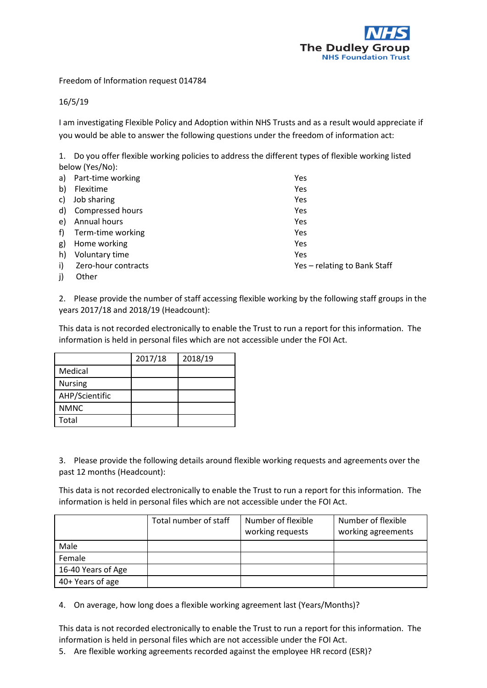

Freedom of Information request 014784

## 16/5/19

I am investigating Flexible Policy and Adoption within NHS Trusts and as a result would appreciate if you would be able to answer the following questions under the freedom of information act:

1. Do you offer flexible working policies to address the different types of flexible working listed below (Yes/No):

| a)           | Part-time working       | Yes                          |
|--------------|-------------------------|------------------------------|
| b)           | Flexitime               | Yes                          |
| C)           | Job sharing             | Yes                          |
| d)           | <b>Compressed hours</b> | Yes                          |
| e)           | Annual hours            | Yes                          |
| f            | Term-time working       | Yes                          |
| g)           | Home working            | Yes                          |
| h)           | Voluntary time          | Yes                          |
| $\mathsf{i}$ | Zero-hour contracts     | Yes - relating to Bank Staff |
| j)           | Other                   |                              |

2. Please provide the number of staff accessing flexible working by the following staff groups in the years 2017/18 and 2018/19 (Headcount):

This data is not recorded electronically to enable the Trust to run a report for this information. The information is held in personal files which are not accessible under the FOI Act.

|                | 2017/18 | 2018/19 |
|----------------|---------|---------|
| Medical        |         |         |
| <b>Nursing</b> |         |         |
| AHP/Scientific |         |         |
| <b>NMNC</b>    |         |         |
| Total          |         |         |

3. Please provide the following details around flexible working requests and agreements over the past 12 months (Headcount):

This data is not recorded electronically to enable the Trust to run a report for this information. The information is held in personal files which are not accessible under the FOI Act.

|                    | Total number of staff | Number of flexible<br>working requests | Number of flexible<br>working agreements |
|--------------------|-----------------------|----------------------------------------|------------------------------------------|
| Male               |                       |                                        |                                          |
| Female             |                       |                                        |                                          |
| 16-40 Years of Age |                       |                                        |                                          |
| 40+ Years of age   |                       |                                        |                                          |

4. On average, how long does a flexible working agreement last (Years/Months)?

This data is not recorded electronically to enable the Trust to run a report for this information. The information is held in personal files which are not accessible under the FOI Act.

5. Are flexible working agreements recorded against the employee HR record (ESR)?